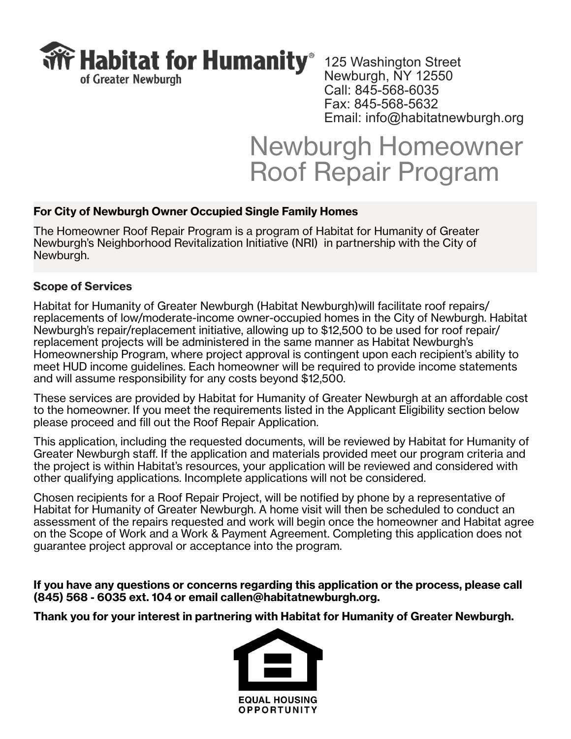

Newburgh, NY 12550 Call: 845-568-6035 Fax: 845-568-5632 Email: info@habitatnewburgh.org

# Newburgh Homeowner Roof Repair Program

# **For City of Newburgh Owner Occupied Single Family Homes**

The Homeowner Roof Repair Program is a program of Habitat for Humanity of Greater Newburgh's Neighborhood Revitalization Initiative (NRI) in partnership with the City of Newburgh.

# **Scope of Services**

Habitat for Humanity of Greater Newburgh (Habitat Newburgh)will facilitate roof repairs/ replacements of low/moderate-income owner-occupied homes in the City of Newburgh. Habitat Newburgh's repair/replacement initiative, allowing up to \$12,500 to be used for roof repair/ replacement projects will be administered in the same manner as Habitat Newburgh's Homeownership Program, where project approval is contingent upon each recipient's ability to meet HUD income guidelines. Each homeowner will be required to provide income statements and will assume responsibility for any costs beyond \$12,500.

These services are provided by Habitat for Humanity of Greater Newburgh at an affordable cost to the homeowner. If you meet the requirements listed in the Applicant Eligibility section below please proceed and fill out the Roof Repair Application.

This application, including the requested documents, will be reviewed by Habitat for Humanity of Greater Newburgh staff. If the application and materials provided meet our program criteria and the project is within Habitat's resources, your application will be reviewed and considered with other qualifying applications. Incomplete applications will not be considered.

Chosen recipients for a Roof Repair Project, will be notified by phone by a representative of Habitat for Humanity of Greater Newburgh. A home visit will then be scheduled to conduct an assessment of the repairs requested and work will begin once the homeowner and Habitat agree on the Scope of Work and a Work & Payment Agreement. Completing this application does not guarantee project approval or acceptance into the program.

**If you have any questions or concerns regarding this application or the process, please call (845) 568 - 6035 ext. 104 or email callen@habitatnewburgh.org.**

**Thank you for your interest in partnering with Habitat for Humanity of Greater Newburgh.**

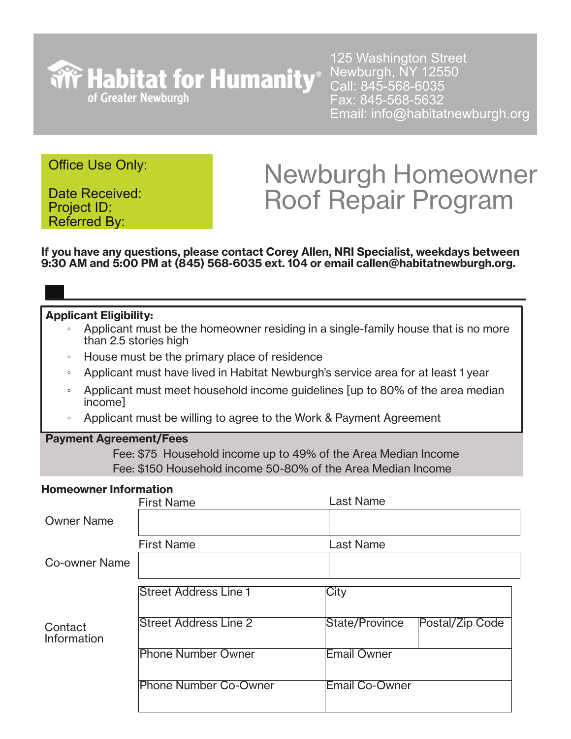

125 Washington Street Newburgh, NY 12550 Call: 845-568-6035 Fax: 845-568-5632 Email: info@habitatnewburgh.org

# Office Use Only:

Date Received: Project ID: Referred By:

# Newburgh Homeowner Roof Repair Program

**If you have any questions, please contact Corey Allen, NRI Specialist, weekdays between 9:30 AM and 5:00 PM at (845) 568-6035 ext. 104 or email callen@habitatnewburgh.org.**

### **Applicant Eligibility:**

- Applicant must be the homeowner residing in a single-family house that is no more than 2.5 stories high
- House must be the primary place of residence
- Applicant must have lived in Habitat Newburgh's service area for at least 1 year
- Applicant must meet household income guidelines [up to 80% of the area median income]
- Applicant must be willing to agree to the Work & Payment Agreement

#### **Payment Agreement/Fees**

Fee: \$75 Household income up to 49% of the Area Median Income Fee: \$150 Household income 50-80% of the Area Median Income

### **Homeowner Information**

|                        | <b>First Name</b>            | <b>Last Name</b>                         |
|------------------------|------------------------------|------------------------------------------|
| <b>Owner Name</b>      |                              |                                          |
|                        | <b>First Name</b>            | <b>Last Name</b>                         |
| <b>Co-owner Name</b>   |                              |                                          |
|                        | <b>Street Address Line 1</b> | City                                     |
| Contact<br>Information | <b>Street Address Line 2</b> | <b>State/Province</b><br>Postal/Zip Code |
|                        | <b>Phone Number Owner</b>    | Email Owner                              |
|                        | <b>Phone Number Co-Owner</b> | <b>Email Co-Owner</b>                    |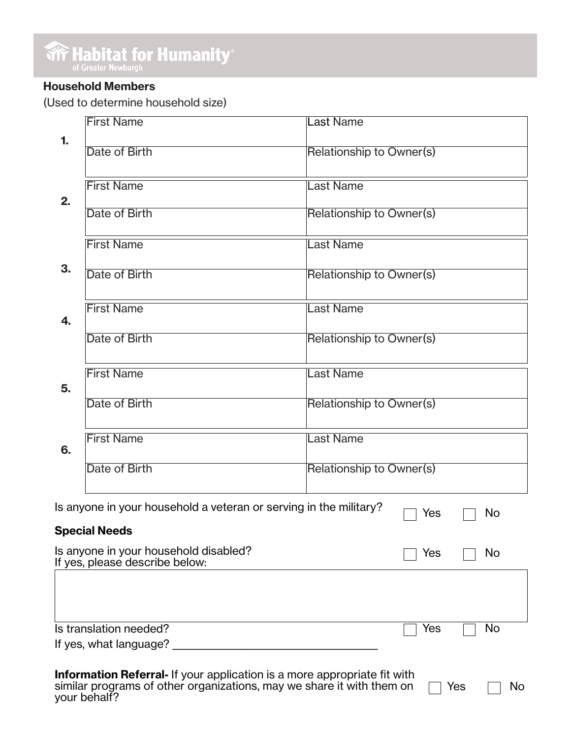**Write Habitat for Humanity®** 

# **Household Members**

(Used to determine household size)

|                                                                                                                                                                                        | <b>First Name</b>                                                       | <b>Last Name</b>                |  |  |
|----------------------------------------------------------------------------------------------------------------------------------------------------------------------------------------|-------------------------------------------------------------------------|---------------------------------|--|--|
| 1.                                                                                                                                                                                     | Date of Birth                                                           | <b>Relationship to Owner(s)</b> |  |  |
| 2.<br>3.                                                                                                                                                                               | <b>First Name</b>                                                       | <b>Last Name</b>                |  |  |
|                                                                                                                                                                                        | Date of Birth                                                           | <b>Relationship to Owner(s)</b> |  |  |
|                                                                                                                                                                                        | <b>First Name</b>                                                       | <b>Last Name</b>                |  |  |
|                                                                                                                                                                                        | Date of Birth                                                           | <b>Relationship to Owner(s)</b> |  |  |
| 4.                                                                                                                                                                                     | <b>First Name</b>                                                       | <b>Last Name</b>                |  |  |
|                                                                                                                                                                                        | Date of Birth                                                           | <b>Relationship to Owner(s)</b> |  |  |
| 5.                                                                                                                                                                                     | <b>First Name</b>                                                       | <b>Last Name</b>                |  |  |
|                                                                                                                                                                                        | Date of Birth                                                           | <b>Relationship to Owner(s)</b> |  |  |
| 6.                                                                                                                                                                                     | <b>First Name</b>                                                       | <b>Last Name</b>                |  |  |
|                                                                                                                                                                                        | Date of Birth                                                           | <b>Relationship to Owner(s)</b> |  |  |
| Is anyone in your household a veteran or serving in the military?<br>No<br>Yes                                                                                                         |                                                                         |                                 |  |  |
|                                                                                                                                                                                        | <b>Special Needs</b>                                                    |                                 |  |  |
|                                                                                                                                                                                        | Is anyone in your household disabled?<br>If yes, please describe below: | Yes<br><b>No</b>                |  |  |
|                                                                                                                                                                                        |                                                                         |                                 |  |  |
|                                                                                                                                                                                        | Is translation needed?                                                  | Yes<br><b>No</b>                |  |  |
| If yes, what language?                                                                                                                                                                 |                                                                         |                                 |  |  |
| <b>Information Referral-</b> If your application is a more appropriate fit with<br>similar programs of other organizations, may we share it with them on<br>Yes<br>No.<br>your behalf? |                                                                         |                                 |  |  |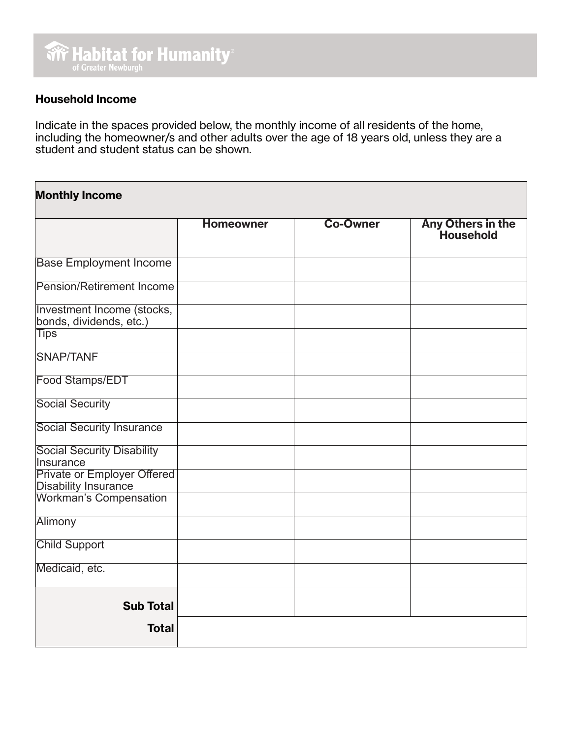## **Household Income**

Indicate in the spaces provided below, the monthly income of all residents of the home, including the homeowner/s and other adults over the age of 18 years old, unless they are a student and student status can be shown.

# **Monthly Income Homeowner Co-Owner Any Others in the Household** Base Employment Income Pension/Retirement Income Investment Income (stocks, bonds, dividends, etc.) **Tips** SNAP/TANF Food Stamps/EDT Social Security Social Security Insurance Social Security Disability Insurance Private or Employer Offered Disability Insurance Workman's Compensation **Alimony** Child Support Medicaid, etc. **Sub Total Total**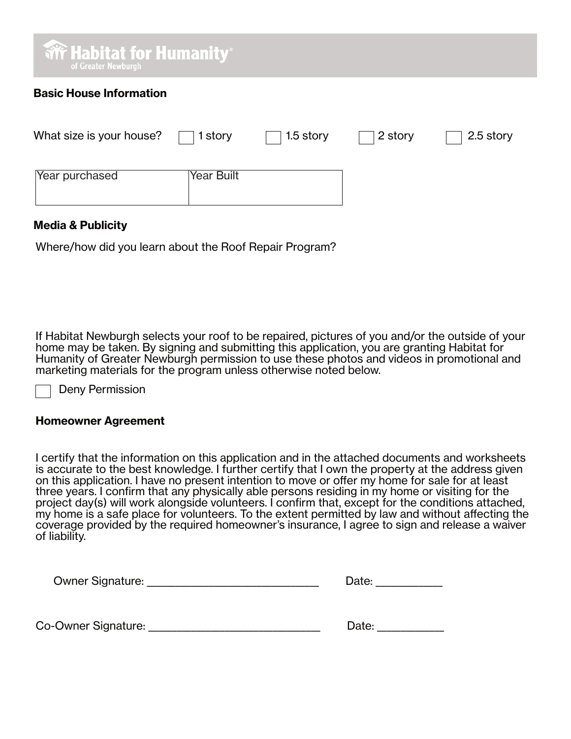| <b>We Habitat for Humanity</b> ®<br>of Greater Newburgh |           |         |           |
|---------------------------------------------------------|-----------|---------|-----------|
| <b>Basic House Information</b>                          |           |         |           |
| What size is your house?<br>1 story                     | 1.5 story | 2 story | 2.5 story |
| Year Built<br>Year purchased                            |           |         |           |

### **Media & Publicity**

Where/how did you learn about the Roof Repair Program?

If Habitat Newburgh selects your roof to be repaired, pictures of you and/or the outside of your home may be taken. By signing and submitting this application, you are granting Habitat for Humanity of Greater Newburgh permission to use these photos and videos in promotional and marketing materials for the program unless otherwise noted below.

Deny Permission

#### **Homeowner Agreement**

I certify that the information on this application and in the attached documents and worksheets is accurate to the best knowledge. I further certify that I own the property at the address given on this application. I have no present intention to move or offer my home for sale for at least three years. I confirm that any physically able persons residing in my home or visiting for the project day(s) will work alongside volunteers. I confirm that, except for the conditions attached, my home is a safe place for volunteers. To the extent permitted by law and without affecting the coverage provided by the required homeowner's insurance, I agree to sign and release a waiver of liability.

| <b>Owner Signature:</b> | Date: |
|-------------------------|-------|
|                         |       |

Co-Owner Signature: etc. and the contract of the Date:  $\Box$